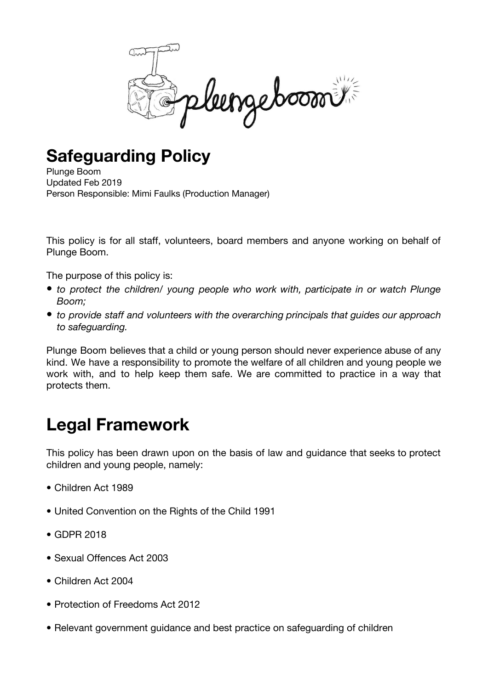

## **Safeguarding Policy**

Plunge Boom Updated Feb 2019 Person Responsible: Mimi Faulks (Production Manager)

This policy is for all staff, volunteers, board members and anyone working on behalf of Plunge Boom.

The purpose of this policy is:

- *• to protect the children/ young people who work with, participate in or watch Plunge Boom;*
- *• to provide staff and volunteers with the overarching principals that guides our approach to safeguarding.*

Plunge Boom believes that a child or young person should never experience abuse of any kind. We have a responsibility to promote the welfare of all children and young people we work with, and to help keep them safe. We are committed to practice in a way that protects them.

## **Legal Framework**

This policy has been drawn upon on the basis of law and guidance that seeks to protect children and young people, namely:

- Children Act 1989
- United Convention on the Rights of the Child 1991
- GDPR 2018
- Sexual Offences Act 2003
- Children Act 2004
- Protection of Freedoms Act 2012
- Relevant government guidance and best practice on safeguarding of children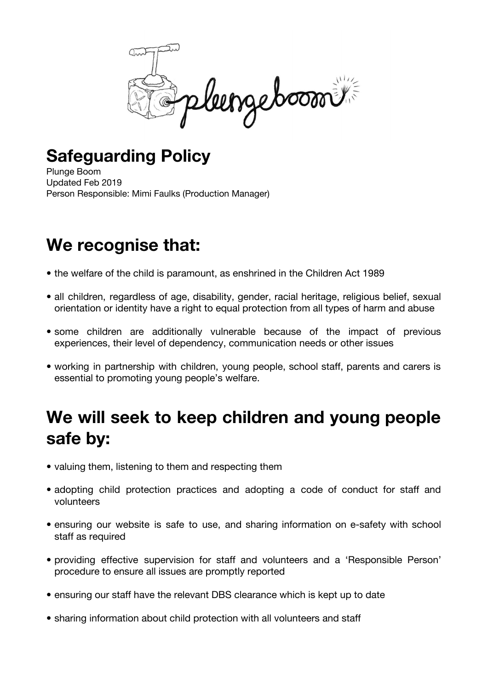

## **Safeguarding Policy**

Plunge Boom Updated Feb 2019 Person Responsible: Mimi Faulks (Production Manager)

## **We recognise that:**

- the welfare of the child is paramount, as enshrined in the Children Act 1989
- all children, regardless of age, disability, gender, racial heritage, religious belief, sexual orientation or identity have a right to equal protection from all types of harm and abuse
- some children are additionally vulnerable because of the impact of previous experiences, their level of dependency, communication needs or other issues
- working in partnership with children, young people, school staff, parents and carers is essential to promoting young people's welfare.

## **We will seek to keep children and young people safe by:**

- valuing them, listening to them and respecting them
- adopting child protection practices and adopting a code of conduct for staff and volunteers
- ensuring our website is safe to use, and sharing information on e-safety with school staff as required
- providing effective supervision for staff and volunteers and a 'Responsible Person' procedure to ensure all issues are promptly reported
- ensuring our staff have the relevant DBS clearance which is kept up to date
- sharing information about child protection with all volunteers and staff